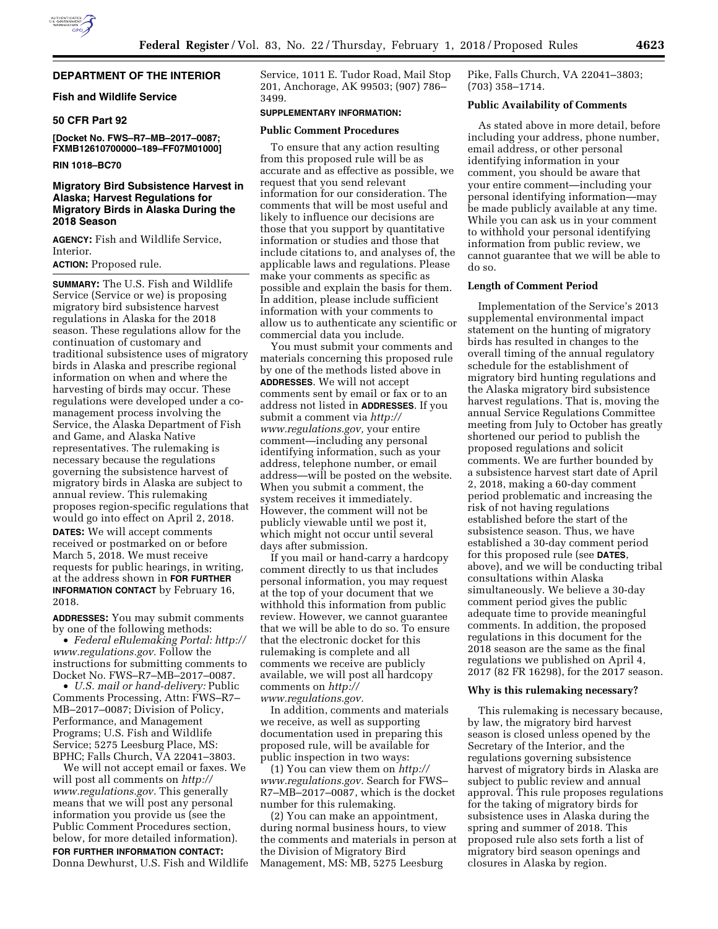# **DEPARTMENT OF THE INTERIOR**

### **Fish and Wildlife Service**

# **50 CFR Part 92**

**[Docket No. FWS–R7–MB–2017–0087; FXMB12610700000–189–FF07M01000]** 

#### **RIN 1018–BC70**

# **Migratory Bird Subsistence Harvest in Alaska; Harvest Regulations for Migratory Birds in Alaska During the 2018 Season**

**AGENCY:** Fish and Wildlife Service, Interior.

# **ACTION:** Proposed rule.

**SUMMARY:** The U.S. Fish and Wildlife Service (Service or we) is proposing migratory bird subsistence harvest regulations in Alaska for the 2018 season. These regulations allow for the continuation of customary and traditional subsistence uses of migratory birds in Alaska and prescribe regional information on when and where the harvesting of birds may occur. These regulations were developed under a comanagement process involving the Service, the Alaska Department of Fish and Game, and Alaska Native representatives. The rulemaking is necessary because the regulations governing the subsistence harvest of migratory birds in Alaska are subject to annual review. This rulemaking proposes region-specific regulations that would go into effect on April 2, 2018. **DATES:** We will accept comments received or postmarked on or before March 5, 2018. We must receive requests for public hearings, in writing, at the address shown in **FOR FURTHER INFORMATION CONTACT** by February 16, 2018.

**ADDRESSES:** You may submit comments by one of the following methods:

• *Federal eRulemaking Portal: [http://](http://www.regulations.gov)  [www.regulations.gov.](http://www.regulations.gov)* Follow the instructions for submitting comments to Docket No. FWS–R7–MB–2017–0087.

• *U.S. mail or hand-delivery:* Public Comments Processing, Attn: FWS–R7– MB–2017–0087; Division of Policy, Performance, and Management Programs; U.S. Fish and Wildlife Service; 5275 Leesburg Place, MS: BPHC; Falls Church, VA 22041–3803.

We will not accept email or faxes. We will post all comments on *[http://](http://www.regulations.gov) [www.regulations.gov.](http://www.regulations.gov)* This generally means that we will post any personal information you provide us (see the Public Comment Procedures section, below, for more detailed information). **FOR FURTHER INFORMATION CONTACT:**  Donna Dewhurst, U.S. Fish and Wildlife Service, 1011 E. Tudor Road, Mail Stop 201, Anchorage, AK 99503; (907) 786– 3499.

### **SUPPLEMENTARY INFORMATION:**

#### **Public Comment Procedures**

To ensure that any action resulting from this proposed rule will be as accurate and as effective as possible, we request that you send relevant information for our consideration. The comments that will be most useful and likely to influence our decisions are those that you support by quantitative information or studies and those that include citations to, and analyses of, the applicable laws and regulations. Please make your comments as specific as possible and explain the basis for them. In addition, please include sufficient information with your comments to allow us to authenticate any scientific or commercial data you include.

You must submit your comments and materials concerning this proposed rule by one of the methods listed above in **ADDRESSES**. We will not accept comments sent by email or fax or to an address not listed in **ADDRESSES**. If you submit a comment via *[http://](http://www.regulations.gov) [www.regulations.gov,](http://www.regulations.gov)* your entire comment—including any personal identifying information, such as your address, telephone number, or email address—will be posted on the website. When you submit a comment, the system receives it immediately. However, the comment will not be publicly viewable until we post it, which might not occur until several days after submission.

If you mail or hand-carry a hardcopy comment directly to us that includes personal information, you may request at the top of your document that we withhold this information from public review. However, we cannot guarantee that we will be able to do so. To ensure that the electronic docket for this rulemaking is complete and all comments we receive are publicly available, we will post all hardcopy comments on *[http://](http://www.regulations.gov) [www.regulations.gov.](http://www.regulations.gov)* 

In addition, comments and materials we receive, as well as supporting documentation used in preparing this proposed rule, will be available for public inspection in two ways:

(1) You can view them on *[http://](http://www.regulations.gov) [www.regulations.gov.](http://www.regulations.gov)* Search for FWS– R7–MB–2017–0087, which is the docket number for this rulemaking.

(2) You can make an appointment, during normal business hours, to view the comments and materials in person at the Division of Migratory Bird Management, MS: MB, 5275 Leesburg

Pike, Falls Church, VA 22041–3803; (703) 358–1714.

#### **Public Availability of Comments**

As stated above in more detail, before including your address, phone number, email address, or other personal identifying information in your comment, you should be aware that your entire comment—including your personal identifying information—may be made publicly available at any time. While you can ask us in your comment to withhold your personal identifying information from public review, we cannot guarantee that we will be able to do so.

#### **Length of Comment Period**

Implementation of the Service's 2013 supplemental environmental impact statement on the hunting of migratory birds has resulted in changes to the overall timing of the annual regulatory schedule for the establishment of migratory bird hunting regulations and the Alaska migratory bird subsistence harvest regulations. That is, moving the annual Service Regulations Committee meeting from July to October has greatly shortened our period to publish the proposed regulations and solicit comments. We are further bounded by a subsistence harvest start date of April 2, 2018, making a 60-day comment period problematic and increasing the risk of not having regulations established before the start of the subsistence season. Thus, we have established a 30-day comment period for this proposed rule (see **DATES**, above), and we will be conducting tribal consultations within Alaska simultaneously. We believe a 30-day comment period gives the public adequate time to provide meaningful comments. In addition, the proposed regulations in this document for the 2018 season are the same as the final regulations we published on April 4, 2017 (82 FR 16298), for the 2017 season.

#### **Why is this rulemaking necessary?**

This rulemaking is necessary because, by law, the migratory bird harvest season is closed unless opened by the Secretary of the Interior, and the regulations governing subsistence harvest of migratory birds in Alaska are subject to public review and annual approval. This rule proposes regulations for the taking of migratory birds for subsistence uses in Alaska during the spring and summer of 2018. This proposed rule also sets forth a list of migratory bird season openings and closures in Alaska by region.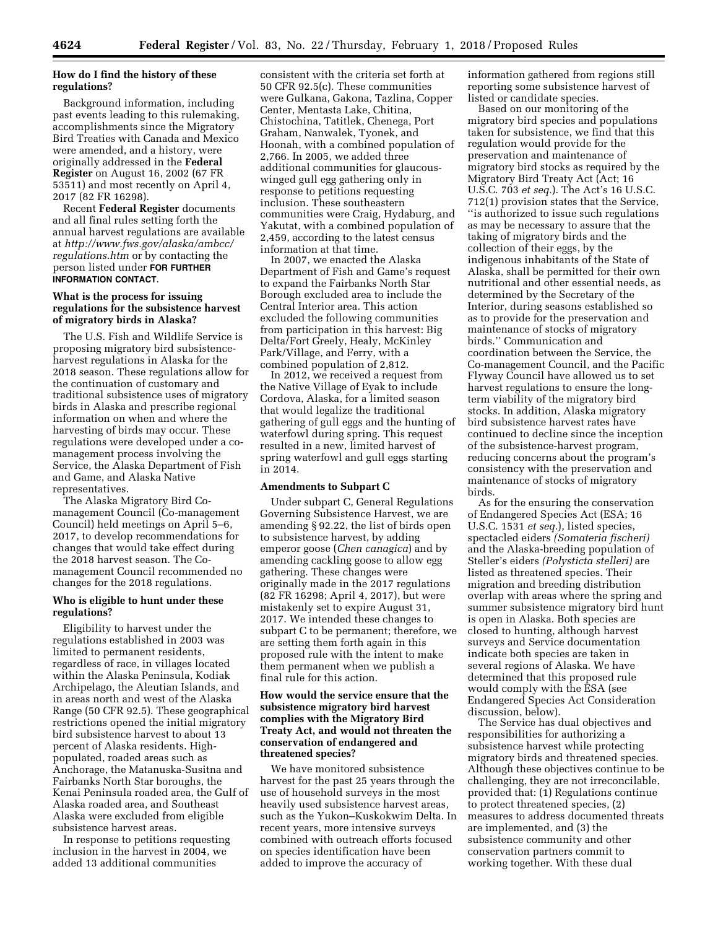# **How do I find the history of these regulations?**

Background information, including past events leading to this rulemaking, accomplishments since the Migratory Bird Treaties with Canada and Mexico were amended, and a history, were originally addressed in the **Federal Register** on August 16, 2002 (67 FR 53511) and most recently on April 4, 2017 (82 FR 16298).

Recent **Federal Register** documents and all final rules setting forth the annual harvest regulations are available at *[http://www.fws.gov/alaska/ambcc/](http://www.fws.gov/alaska/ambcc/regulations.htm) [regulations.htm](http://www.fws.gov/alaska/ambcc/regulations.htm)* or by contacting the person listed under **FOR FURTHER INFORMATION CONTACT**.

### **What is the process for issuing regulations for the subsistence harvest of migratory birds in Alaska?**

The U.S. Fish and Wildlife Service is proposing migratory bird subsistenceharvest regulations in Alaska for the 2018 season. These regulations allow for the continuation of customary and traditional subsistence uses of migratory birds in Alaska and prescribe regional information on when and where the harvesting of birds may occur. These regulations were developed under a comanagement process involving the Service, the Alaska Department of Fish and Game, and Alaska Native representatives.

The Alaska Migratory Bird Comanagement Council (Co-management Council) held meetings on April 5–6, 2017, to develop recommendations for changes that would take effect during the 2018 harvest season. The Comanagement Council recommended no changes for the 2018 regulations.

### **Who is eligible to hunt under these regulations?**

Eligibility to harvest under the regulations established in 2003 was limited to permanent residents, regardless of race, in villages located within the Alaska Peninsula, Kodiak Archipelago, the Aleutian Islands, and in areas north and west of the Alaska Range (50 CFR 92.5). These geographical restrictions opened the initial migratory bird subsistence harvest to about 13 percent of Alaska residents. Highpopulated, roaded areas such as Anchorage, the Matanuska-Susitna and Fairbanks North Star boroughs, the Kenai Peninsula roaded area, the Gulf of Alaska roaded area, and Southeast Alaska were excluded from eligible subsistence harvest areas.

In response to petitions requesting inclusion in the harvest in 2004, we added 13 additional communities

consistent with the criteria set forth at 50 CFR 92.5(c). These communities were Gulkana, Gakona, Tazlina, Copper Center, Mentasta Lake, Chitina, Chistochina, Tatitlek, Chenega, Port Graham, Nanwalek, Tyonek, and Hoonah, with a combined population of 2,766. In 2005, we added three additional communities for glaucouswinged gull egg gathering only in response to petitions requesting inclusion. These southeastern communities were Craig, Hydaburg, and Yakutat, with a combined population of 2,459, according to the latest census information at that time.

In 2007, we enacted the Alaska Department of Fish and Game's request to expand the Fairbanks North Star Borough excluded area to include the Central Interior area. This action excluded the following communities from participation in this harvest: Big Delta/Fort Greely, Healy, McKinley Park/Village, and Ferry, with a combined population of 2,812.

In 2012, we received a request from the Native Village of Eyak to include Cordova, Alaska, for a limited season that would legalize the traditional gathering of gull eggs and the hunting of waterfowl during spring. This request resulted in a new, limited harvest of spring waterfowl and gull eggs starting in 2014.

#### **Amendments to Subpart C**

Under subpart C, General Regulations Governing Subsistence Harvest, we are amending § 92.22, the list of birds open to subsistence harvest, by adding emperor goose (*Chen canagica*) and by amending cackling goose to allow egg gathering. These changes were originally made in the 2017 regulations (82 FR 16298; April 4, 2017), but were mistakenly set to expire August 31, 2017. We intended these changes to subpart C to be permanent; therefore, we are setting them forth again in this proposed rule with the intent to make them permanent when we publish a final rule for this action.

### **How would the service ensure that the subsistence migratory bird harvest complies with the Migratory Bird Treaty Act, and would not threaten the conservation of endangered and threatened species?**

We have monitored subsistence harvest for the past 25 years through the use of household surveys in the most heavily used subsistence harvest areas, such as the Yukon–Kuskokwim Delta. In recent years, more intensive surveys combined with outreach efforts focused on species identification have been added to improve the accuracy of

information gathered from regions still reporting some subsistence harvest of listed or candidate species.

Based on our monitoring of the migratory bird species and populations taken for subsistence, we find that this regulation would provide for the preservation and maintenance of migratory bird stocks as required by the Migratory Bird Treaty Act (Act; 16 U.S.C. 703 *et seq.*). The Act's 16 U.S.C. 712(1) provision states that the Service, ''is authorized to issue such regulations as may be necessary to assure that the taking of migratory birds and the collection of their eggs, by the indigenous inhabitants of the State of Alaska, shall be permitted for their own nutritional and other essential needs, as determined by the Secretary of the Interior, during seasons established so as to provide for the preservation and maintenance of stocks of migratory birds.'' Communication and coordination between the Service, the Co-management Council, and the Pacific Flyway Council have allowed us to set harvest regulations to ensure the longterm viability of the migratory bird stocks. In addition, Alaska migratory bird subsistence harvest rates have continued to decline since the inception of the subsistence-harvest program, reducing concerns about the program's consistency with the preservation and maintenance of stocks of migratory birds.

As for the ensuring the conservation of Endangered Species Act (ESA; 16 U.S.C. 1531 *et seq.*), listed species, spectacled eiders *(Somateria fischeri)*  and the Alaska-breeding population of Steller's eiders *(Polysticta stelleri)* are listed as threatened species. Their migration and breeding distribution overlap with areas where the spring and summer subsistence migratory bird hunt is open in Alaska. Both species are closed to hunting, although harvest surveys and Service documentation indicate both species are taken in several regions of Alaska. We have determined that this proposed rule would comply with the ESA (see Endangered Species Act Consideration discussion, below).

The Service has dual objectives and responsibilities for authorizing a subsistence harvest while protecting migratory birds and threatened species. Although these objectives continue to be challenging, they are not irreconcilable, provided that: (1) Regulations continue to protect threatened species, (2) measures to address documented threats are implemented, and (3) the subsistence community and other conservation partners commit to working together. With these dual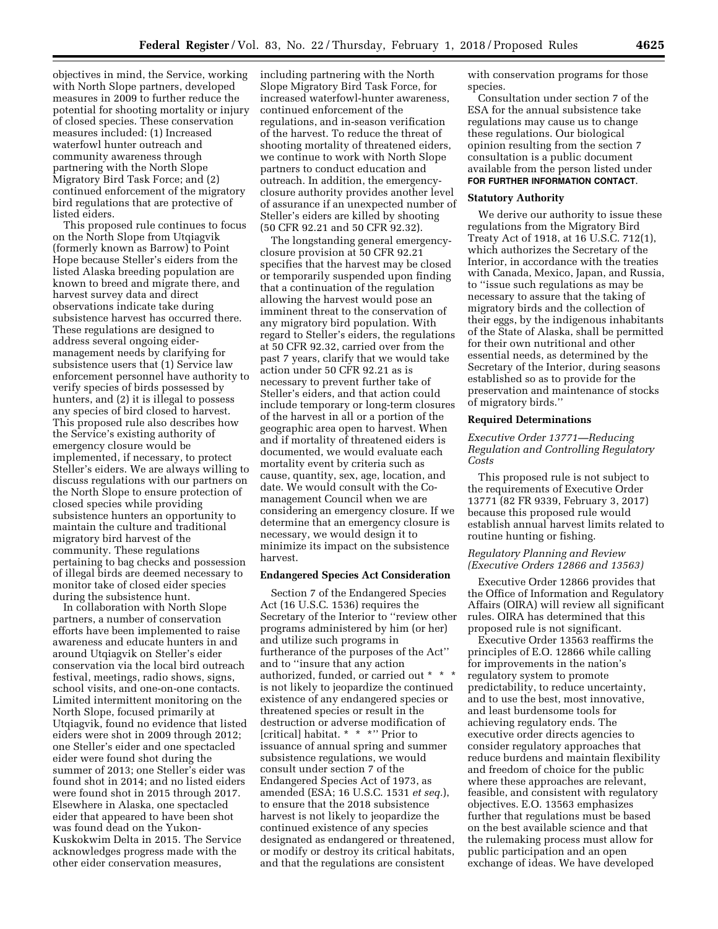objectives in mind, the Service, working with North Slope partners, developed measures in 2009 to further reduce the potential for shooting mortality or injury of closed species. These conservation measures included: (1) Increased waterfowl hunter outreach and community awareness through partnering with the North Slope Migratory Bird Task Force; and (2) continued enforcement of the migratory bird regulations that are protective of listed eiders.

This proposed rule continues to focus on the North Slope from Utqiagvik (formerly known as Barrow) to Point Hope because Steller's eiders from the listed Alaska breeding population are known to breed and migrate there, and harvest survey data and direct observations indicate take during subsistence harvest has occurred there. These regulations are designed to address several ongoing eidermanagement needs by clarifying for subsistence users that (1) Service law enforcement personnel have authority to verify species of birds possessed by hunters, and (2) it is illegal to possess any species of bird closed to harvest. This proposed rule also describes how the Service's existing authority of emergency closure would be implemented, if necessary, to protect Steller's eiders. We are always willing to discuss regulations with our partners on the North Slope to ensure protection of closed species while providing subsistence hunters an opportunity to maintain the culture and traditional migratory bird harvest of the community. These regulations pertaining to bag checks and possession of illegal birds are deemed necessary to monitor take of closed eider species during the subsistence hunt.

In collaboration with North Slope partners, a number of conservation efforts have been implemented to raise awareness and educate hunters in and around Utqiagvik on Steller's eider conservation via the local bird outreach festival, meetings, radio shows, signs, school visits, and one-on-one contacts. Limited intermittent monitoring on the North Slope, focused primarily at Utqiagvik, found no evidence that listed eiders were shot in 2009 through 2012; one Steller's eider and one spectacled eider were found shot during the summer of 2013; one Steller's eider was found shot in 2014; and no listed eiders were found shot in 2015 through 2017. Elsewhere in Alaska, one spectacled eider that appeared to have been shot was found dead on the Yukon-Kuskokwim Delta in 2015. The Service acknowledges progress made with the other eider conservation measures,

including partnering with the North Slope Migratory Bird Task Force, for increased waterfowl-hunter awareness, continued enforcement of the regulations, and in-season verification of the harvest. To reduce the threat of shooting mortality of threatened eiders, we continue to work with North Slope partners to conduct education and outreach. In addition, the emergencyclosure authority provides another level of assurance if an unexpected number of Steller's eiders are killed by shooting (50 CFR 92.21 and 50 CFR 92.32).

The longstanding general emergencyclosure provision at 50 CFR 92.21 specifies that the harvest may be closed or temporarily suspended upon finding that a continuation of the regulation allowing the harvest would pose an imminent threat to the conservation of any migratory bird population. With regard to Steller's eiders, the regulations at 50 CFR 92.32, carried over from the past 7 years, clarify that we would take action under 50 CFR 92.21 as is necessary to prevent further take of Steller's eiders, and that action could include temporary or long-term closures of the harvest in all or a portion of the geographic area open to harvest. When and if mortality of threatened eiders is documented, we would evaluate each mortality event by criteria such as cause, quantity, sex, age, location, and date. We would consult with the Comanagement Council when we are considering an emergency closure. If we determine that an emergency closure is necessary, we would design it to minimize its impact on the subsistence harvest.

### **Endangered Species Act Consideration**

Section 7 of the Endangered Species Act (16 U.S.C. 1536) requires the Secretary of the Interior to ''review other programs administered by him (or her) and utilize such programs in furtherance of the purposes of the Act'' and to ''insure that any action authorized, funded, or carried out \* \* \* is not likely to jeopardize the continued existence of any endangered species or threatened species or result in the destruction or adverse modification of [critical] habitat. \* \* \*'' Prior to issuance of annual spring and summer subsistence regulations, we would consult under section 7 of the Endangered Species Act of 1973, as amended (ESA; 16 U.S.C. 1531 *et seq.*), to ensure that the 2018 subsistence harvest is not likely to jeopardize the continued existence of any species designated as endangered or threatened, or modify or destroy its critical habitats, and that the regulations are consistent

with conservation programs for those species.

Consultation under section 7 of the ESA for the annual subsistence take regulations may cause us to change these regulations. Our biological opinion resulting from the section 7 consultation is a public document available from the person listed under **FOR FURTHER INFORMATION CONTACT**.

### **Statutory Authority**

We derive our authority to issue these regulations from the Migratory Bird Treaty Act of 1918, at 16 U.S.C. 712(1), which authorizes the Secretary of the Interior, in accordance with the treaties with Canada, Mexico, Japan, and Russia, to ''issue such regulations as may be necessary to assure that the taking of migratory birds and the collection of their eggs, by the indigenous inhabitants of the State of Alaska, shall be permitted for their own nutritional and other essential needs, as determined by the Secretary of the Interior, during seasons established so as to provide for the preservation and maintenance of stocks of migratory birds.''

#### **Required Determinations**

### *Executive Order 13771—Reducing Regulation and Controlling Regulatory Costs*

This proposed rule is not subject to the requirements of Executive Order 13771 (82 FR 9339, February 3, 2017) because this proposed rule would establish annual harvest limits related to routine hunting or fishing.

### *Regulatory Planning and Review (Executive Orders 12866 and 13563)*

Executive Order 12866 provides that the Office of Information and Regulatory Affairs (OIRA) will review all significant rules. OIRA has determined that this proposed rule is not significant.

Executive Order 13563 reaffirms the principles of E.O. 12866 while calling for improvements in the nation's regulatory system to promote predictability, to reduce uncertainty, and to use the best, most innovative, and least burdensome tools for achieving regulatory ends. The executive order directs agencies to consider regulatory approaches that reduce burdens and maintain flexibility and freedom of choice for the public where these approaches are relevant, feasible, and consistent with regulatory objectives. E.O. 13563 emphasizes further that regulations must be based on the best available science and that the rulemaking process must allow for public participation and an open exchange of ideas. We have developed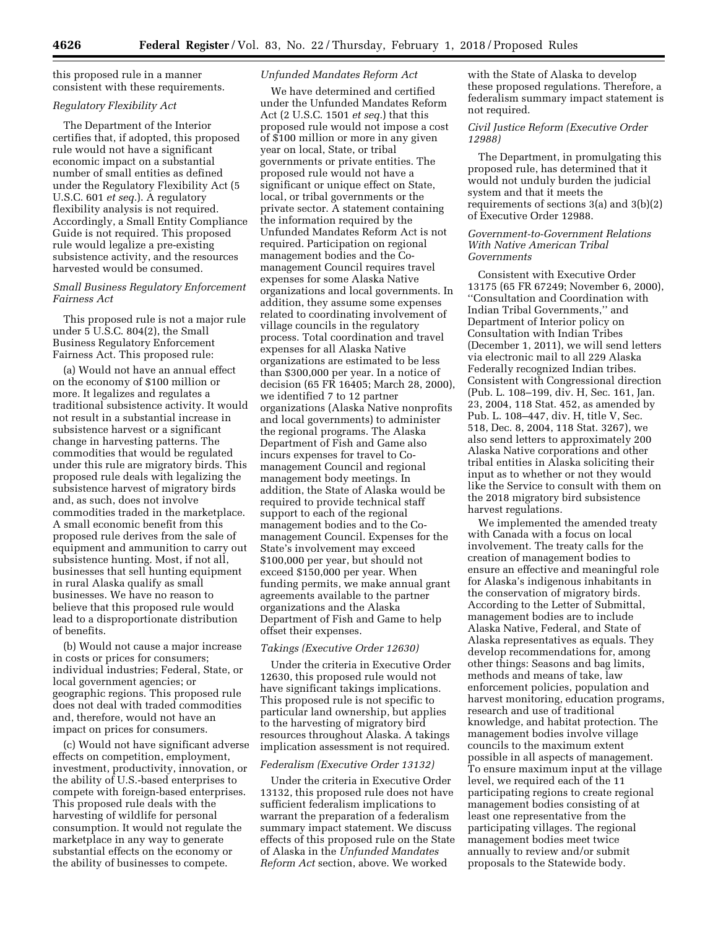this proposed rule in a manner consistent with these requirements.

# *Regulatory Flexibility Act*

The Department of the Interior certifies that, if adopted, this proposed rule would not have a significant economic impact on a substantial number of small entities as defined under the Regulatory Flexibility Act (5 U.S.C. 601 *et seq.*). A regulatory flexibility analysis is not required. Accordingly, a Small Entity Compliance Guide is not required. This proposed rule would legalize a pre-existing subsistence activity, and the resources harvested would be consumed.

### *Small Business Regulatory Enforcement Fairness Act*

This proposed rule is not a major rule under 5 U.S.C. 804(2), the Small Business Regulatory Enforcement Fairness Act. This proposed rule:

(a) Would not have an annual effect on the economy of \$100 million or more. It legalizes and regulates a traditional subsistence activity. It would not result in a substantial increase in subsistence harvest or a significant change in harvesting patterns. The commodities that would be regulated under this rule are migratory birds. This proposed rule deals with legalizing the subsistence harvest of migratory birds and, as such, does not involve commodities traded in the marketplace. A small economic benefit from this proposed rule derives from the sale of equipment and ammunition to carry out subsistence hunting. Most, if not all, businesses that sell hunting equipment in rural Alaska qualify as small businesses. We have no reason to believe that this proposed rule would lead to a disproportionate distribution of benefits.

(b) Would not cause a major increase in costs or prices for consumers; individual industries; Federal, State, or local government agencies; or geographic regions. This proposed rule does not deal with traded commodities and, therefore, would not have an impact on prices for consumers.

(c) Would not have significant adverse effects on competition, employment, investment, productivity, innovation, or the ability of U.S.-based enterprises to compete with foreign-based enterprises. This proposed rule deals with the harvesting of wildlife for personal consumption. It would not regulate the marketplace in any way to generate substantial effects on the economy or the ability of businesses to compete.

### *Unfunded Mandates Reform Act*

We have determined and certified under the Unfunded Mandates Reform Act (2 U.S.C. 1501 *et seq.*) that this proposed rule would not impose a cost of \$100 million or more in any given year on local, State, or tribal governments or private entities. The proposed rule would not have a significant or unique effect on State, local, or tribal governments or the private sector. A statement containing the information required by the Unfunded Mandates Reform Act is not required. Participation on regional management bodies and the Comanagement Council requires travel expenses for some Alaska Native organizations and local governments. In addition, they assume some expenses related to coordinating involvement of village councils in the regulatory process. Total coordination and travel expenses for all Alaska Native organizations are estimated to be less than \$300,000 per year. In a notice of decision (65 FR 16405; March 28, 2000), we identified 7 to 12 partner organizations (Alaska Native nonprofits and local governments) to administer the regional programs. The Alaska Department of Fish and Game also incurs expenses for travel to Comanagement Council and regional management body meetings. In addition, the State of Alaska would be required to provide technical staff support to each of the regional management bodies and to the Comanagement Council. Expenses for the State's involvement may exceed \$100,000 per year, but should not exceed \$150,000 per year. When funding permits, we make annual grant agreements available to the partner organizations and the Alaska Department of Fish and Game to help offset their expenses.

#### *Takings (Executive Order 12630)*

Under the criteria in Executive Order 12630, this proposed rule would not have significant takings implications. This proposed rule is not specific to particular land ownership, but applies to the harvesting of migratory bird resources throughout Alaska. A takings implication assessment is not required.

### *Federalism (Executive Order 13132)*

Under the criteria in Executive Order 13132, this proposed rule does not have sufficient federalism implications to warrant the preparation of a federalism summary impact statement. We discuss effects of this proposed rule on the State of Alaska in the *Unfunded Mandates Reform Act* section, above. We worked

with the State of Alaska to develop these proposed regulations. Therefore, a federalism summary impact statement is not required.

# *Civil Justice Reform (Executive Order 12988)*

The Department, in promulgating this proposed rule, has determined that it would not unduly burden the judicial system and that it meets the requirements of sections 3(a) and 3(b)(2) of Executive Order 12988.

### *Government-to-Government Relations With Native American Tribal Governments*

Consistent with Executive Order 13175 (65 FR 67249; November 6, 2000), ''Consultation and Coordination with Indian Tribal Governments,'' and Department of Interior policy on Consultation with Indian Tribes (December 1, 2011), we will send letters via electronic mail to all 229 Alaska Federally recognized Indian tribes. Consistent with Congressional direction (Pub. L. 108–199, div. H, Sec. 161, Jan. 23, 2004, 118 Stat. 452, as amended by Pub. L. 108–447, div. H, title V, Sec. 518, Dec. 8, 2004, 118 Stat. 3267), we also send letters to approximately 200 Alaska Native corporations and other tribal entities in Alaska soliciting their input as to whether or not they would like the Service to consult with them on the 2018 migratory bird subsistence harvest regulations.

We implemented the amended treaty with Canada with a focus on local involvement. The treaty calls for the creation of management bodies to ensure an effective and meaningful role for Alaska's indigenous inhabitants in the conservation of migratory birds. According to the Letter of Submittal, management bodies are to include Alaska Native, Federal, and State of Alaska representatives as equals. They develop recommendations for, among other things: Seasons and bag limits, methods and means of take, law enforcement policies, population and harvest monitoring, education programs, research and use of traditional knowledge, and habitat protection. The management bodies involve village councils to the maximum extent possible in all aspects of management. To ensure maximum input at the village level, we required each of the 11 participating regions to create regional management bodies consisting of at least one representative from the participating villages. The regional management bodies meet twice annually to review and/or submit proposals to the Statewide body.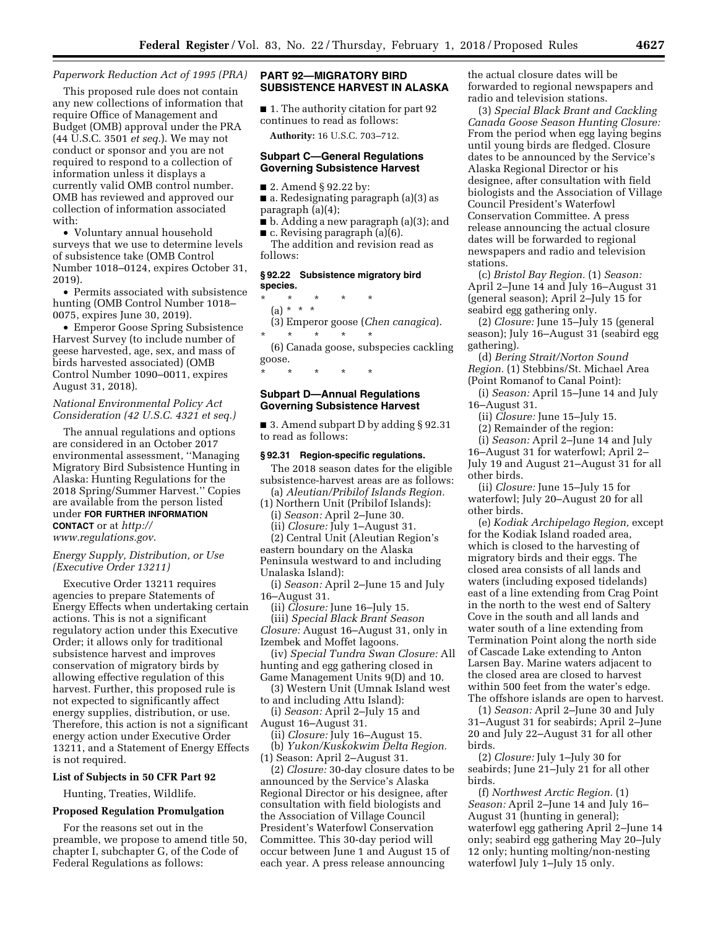# *Paperwork Reduction Act of 1995 (PRA)*

This proposed rule does not contain any new collections of information that require Office of Management and Budget (OMB) approval under the PRA (44 U.S.C. 3501 *et seq.*). We may not conduct or sponsor and you are not required to respond to a collection of information unless it displays a currently valid OMB control number. OMB has reviewed and approved our collection of information associated with:

• Voluntary annual household surveys that we use to determine levels of subsistence take (OMB Control Number 1018–0124, expires October 31, 2019).

• Permits associated with subsistence hunting (OMB Control Number 1018– 0075, expires June 30, 2019).

• Emperor Goose Spring Subsistence Harvest Survey (to include number of geese harvested, age, sex, and mass of birds harvested associated) (OMB Control Number 1090–0011, expires August 31, 2018).

### *National Environmental Policy Act Consideration (42 U.S.C. 4321 et seq.)*

The annual regulations and options are considered in an October 2017 environmental assessment, ''Managing Migratory Bird Subsistence Hunting in Alaska: Hunting Regulations for the 2018 Spring/Summer Harvest.'' Copies are available from the person listed under **FOR FURTHER INFORMATION CONTACT** or at *[http://](http://www.regulations.gov) [www.regulations.gov](http://www.regulations.gov)*.

# *Energy Supply, Distribution, or Use (Executive Order 13211)*

Executive Order 13211 requires agencies to prepare Statements of Energy Effects when undertaking certain actions. This is not a significant regulatory action under this Executive Order; it allows only for traditional subsistence harvest and improves conservation of migratory birds by allowing effective regulation of this harvest. Further, this proposed rule is not expected to significantly affect energy supplies, distribution, or use. Therefore, this action is not a significant energy action under Executive Order 13211, and a Statement of Energy Effects is not required.

#### **List of Subjects in 50 CFR Part 92**

Hunting, Treaties, Wildlife.

### **Proposed Regulation Promulgation**

For the reasons set out in the preamble, we propose to amend title 50, chapter I, subchapter G, of the Code of Federal Regulations as follows:

# **PART 92—MIGRATORY BIRD SUBSISTENCE HARVEST IN ALASKA**

■ 1. The authority citation for part 92 continues to read as follows: **Authority:** 16 U.S.C. 703–712.

### **Subpart C—General Regulations Governing Subsistence Harvest**

- 2. Amend § 92.22 by:
- a. Redesignating paragraph (a)(3) as paragraph (a)(4);

■ b. Adding a new paragraph (a)(3); and ■ c. Revising paragraph (a)(6).

The addition and revision read as follows:

### **§ 92.22 Subsistence migratory bird species.**

\* \* \* \* \* (a) \* \* \* (3) Emperor goose (*Chen canagica*). \* \* \* \* \*

(6) Canada goose, subspecies cackling goose.

\* \* \* \* \*

### **Subpart D—Annual Regulations Governing Subsistence Harvest**

■ 3. Amend subpart D by adding § 92.31 to read as follows:

#### **§ 92.31 Region-specific regulations.**

The 2018 season dates for the eligible subsistence-harvest areas are as follows: (a) *Aleutian/Pribilof Islands Region.* 

(1) Northern Unit (Pribilof Islands): (i) *Season:* April 2–June 30. (ii) *Closure:* July 1–August 31. (2) Central Unit (Aleutian Region's

eastern boundary on the Alaska Peninsula westward to and including

Unalaska Island):

(i) *Season:* April 2–June 15 and July 16–August 31.

(ii) *Closure:* June 16–July 15. (iii) *Special Black Brant Season Closure:* August 16–August 31, only in Izembek and Moffet lagoons.

(iv) *Special Tundra Swan Closure:* All hunting and egg gathering closed in Game Management Units 9(D) and 10.

(3) Western Unit (Umnak Island west to and including Attu Island):

(i) *Season:* April 2–July 15 and August 16–August 31.

(ii) *Closure:* July 16–August 15.

(b) *Yukon/Kuskokwim Delta Region.*  (1) Season: April 2–August 31.

(2) *Closure:* 30-day closure dates to be announced by the Service's Alaska Regional Director or his designee, after consultation with field biologists and the Association of Village Council President's Waterfowl Conservation Committee. This 30-day period will occur between June 1 and August 15 of each year. A press release announcing

the actual closure dates will be forwarded to regional newspapers and radio and television stations.

(3) *Special Black Brant and Cackling Canada Goose Season Hunting Closure:*  From the period when egg laying begins until young birds are fledged. Closure dates to be announced by the Service's Alaska Regional Director or his designee, after consultation with field biologists and the Association of Village Council President's Waterfowl Conservation Committee. A press release announcing the actual closure dates will be forwarded to regional newspapers and radio and television stations.

(c) *Bristol Bay Region.* (1) *Season:*  April 2–June 14 and July 16–August 31 (general season); April 2–July 15 for seabird egg gathering only.

(2) *Closure:* June 15–July 15 (general season); July 16–August 31 (seabird egg gathering).

(d) *Bering Strait/Norton Sound Region.* (1) Stebbins/St. Michael Area (Point Romanof to Canal Point):

(i) *Season:* April 15–June 14 and July 16–August 31.

(ii) *Closure:* June 15–July 15.

(2) Remainder of the region:

(i) *Season:* April 2–June 14 and July 16–August 31 for waterfowl; April 2– July 19 and August 21–August 31 for all other birds.

(ii) *Closure:* June 15–July 15 for waterfowl; July 20–August 20 for all other birds.

(e) *Kodiak Archipelago Region,* except for the Kodiak Island roaded area, which is closed to the harvesting of migratory birds and their eggs. The closed area consists of all lands and waters (including exposed tidelands) east of a line extending from Crag Point in the north to the west end of Saltery Cove in the south and all lands and water south of a line extending from Termination Point along the north side of Cascade Lake extending to Anton Larsen Bay. Marine waters adjacent to the closed area are closed to harvest within 500 feet from the water's edge. The offshore islands are open to harvest.

(1) *Season:* April 2–June 30 and July 31–August 31 for seabirds; April 2–June 20 and July 22–August 31 for all other birds.

(2) *Closure:* July 1–July 30 for seabirds; June 21–July 21 for all other birds.

(f) *Northwest Arctic Region.* (1) *Season:* April 2–June 14 and July 16– August 31 (hunting in general); waterfowl egg gathering April 2–June 14 only; seabird egg gathering May 20–July 12 only; hunting molting/non-nesting waterfowl July 1–July 15 only.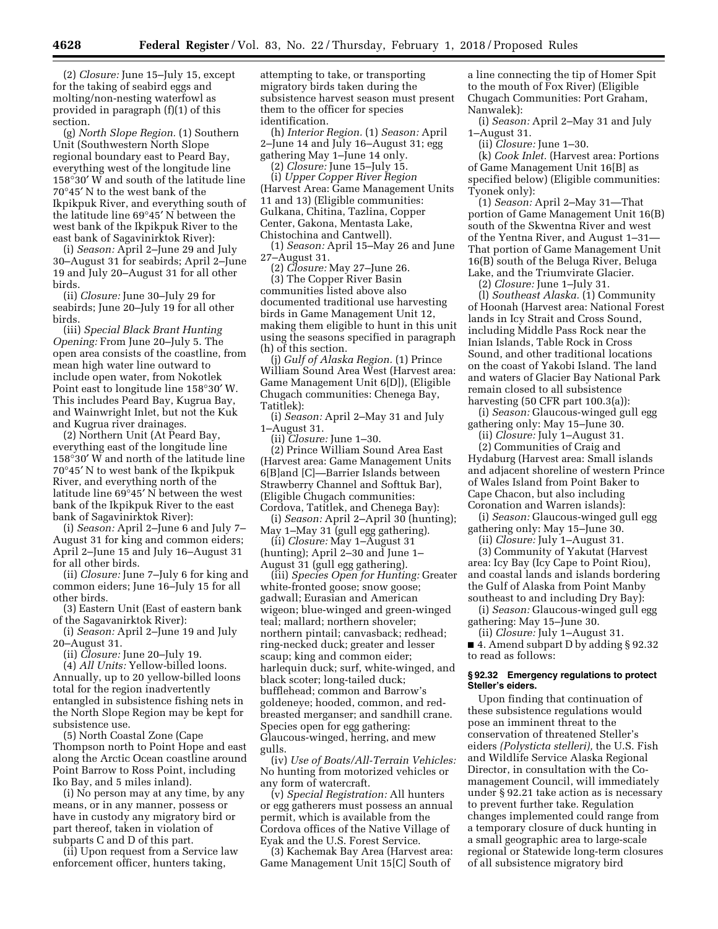(2) *Closure:* June 15–July 15, except for the taking of seabird eggs and molting/non-nesting waterfowl as provided in paragraph (f)(1) of this section.

(g) *North Slope Region.* (1) Southern Unit (Southwestern North Slope regional boundary east to Peard Bay, everything west of the longitude line 158°30′ W and south of the latitude line 70°45′ N to the west bank of the Ikpikpuk River, and everything south of the latitude line 69°45′ N between the west bank of the Ikpikpuk River to the east bank of Sagavinirktok River):

(i) *Season:* April 2–June 29 and July 30–August 31 for seabirds; April 2–June 19 and July 20–August 31 for all other birds.

(ii) *Closure:* June 30–July 29 for seabirds; June 20–July 19 for all other birds.

(iii) *Special Black Brant Hunting Opening:* From June 20–July 5. The open area consists of the coastline, from mean high water line outward to include open water, from Nokotlek Point east to longitude line 158°30′ W. This includes Peard Bay, Kugrua Bay, and Wainwright Inlet, but not the Kuk and Kugrua river drainages.

(2) Northern Unit (At Peard Bay, everything east of the longitude line 158°30′ W and north of the latitude line 70°45′ N to west bank of the Ikpikpuk River, and everything north of the latitude line 69°45′ N between the west bank of the Ikpikpuk River to the east bank of Sagavinirktok River):

(i) *Season:* April 2–June 6 and July 7– August 31 for king and common eiders; April 2–June 15 and July 16–August 31 for all other birds.

(ii) *Closure:* June 7–July 6 for king and common eiders; June 16–July 15 for all other birds.

(3) Eastern Unit (East of eastern bank of the Sagavanirktok River):

(i) *Season:* April 2–June 19 and July 20–August 31.

(ii) *Closure:* June 20–July 19.

(4) *All Units:* Yellow-billed loons. Annually, up to 20 yellow-billed loons total for the region inadvertently entangled in subsistence fishing nets in the North Slope Region may be kept for subsistence use.

(5) North Coastal Zone (Cape Thompson north to Point Hope and east along the Arctic Ocean coastline around Point Barrow to Ross Point, including Iko Bay, and 5 miles inland).

(i) No person may at any time, by any means, or in any manner, possess or have in custody any migratory bird or part thereof, taken in violation of subparts C and D of this part.

(ii) Upon request from a Service law enforcement officer, hunters taking,

attempting to take, or transporting migratory birds taken during the subsistence harvest season must present them to the officer for species identification.

(h) *Interior Region.* (1) *Season:* April 2–June 14 and July 16–August 31; egg gathering May 1–June 14 only.

(2) *Closure:* June 15–July 15.

(i) *Upper Copper River Region*  (Harvest Area: Game Management Units 11 and 13) (Eligible communities: Gulkana, Chitina, Tazlina, Copper Center, Gakona, Mentasta Lake, Chistochina and Cantwell).

(1) *Season:* April 15–May 26 and June 27–August 31.

(2) *Closure:* May 27–June 26.

(3) The Copper River Basin communities listed above also documented traditional use harvesting birds in Game Management Unit 12, making them eligible to hunt in this unit using the seasons specified in paragraph (h) of this section.

(j) *Gulf of Alaska Region.* (1) Prince William Sound Area West (Harvest area: Game Management Unit 6[D]), (Eligible Chugach communities: Chenega Bay, Tatitlek):

(i) *Season:* April 2–May 31 and July 1–August 31.

(ii) *Closure:* June 1–30.

(2) Prince William Sound Area East (Harvest area: Game Management Units 6[B]and [C]—Barrier Islands between Strawberry Channel and Softtuk Bar), (Eligible Chugach communities: Cordova, Tatitlek, and Chenega Bay):

(i) *Season:* April 2–April 30 (hunting); May 1–May 31 (gull egg gathering).

(ii) *Closure:* May 1–August 31 (hunting); April 2–30 and June 1–

August 31 (gull egg gathering). (iii) *Species Open for Hunting:* Greater white-fronted goose; snow goose; gadwall; Eurasian and American wigeon; blue-winged and green-winged teal; mallard; northern shoveler; northern pintail; canvasback; redhead; ring-necked duck; greater and lesser scaup; king and common eider; harlequin duck; surf, white-winged, and black scoter; long-tailed duck; bufflehead; common and Barrow's goldeneye; hooded, common, and redbreasted merganser; and sandhill crane. Species open for egg gathering: Glaucous-winged, herring, and mew gulls.

(iv) *Use of Boats/All-Terrain Vehicles:*  No hunting from motorized vehicles or any form of watercraft.

(v) *Special Registration:* All hunters or egg gatherers must possess an annual permit, which is available from the Cordova offices of the Native Village of Eyak and the U.S. Forest Service.

(3) Kachemak Bay Area (Harvest area: Game Management Unit 15[C] South of

a line connecting the tip of Homer Spit to the mouth of Fox River) (Eligible Chugach Communities: Port Graham, Nanwalek):

(i) *Season:* April 2–May 31 and July 1–August 31.

(ii) *Closure:* June 1–30.

(k) *Cook Inlet.* (Harvest area: Portions of Game Management Unit 16[B] as specified below) (Eligible communities: Tyonek only):

(1) *Season:* April 2–May 31—That portion of Game Management Unit 16(B) south of the Skwentna River and west of the Yentna River, and August 1–31— That portion of Game Management Unit 16(B) south of the Beluga River, Beluga Lake, and the Triumvirate Glacier.

(2) *Closure:* June 1–July 31.

(l) *Southeast Alaska.* (1) Community of Hoonah (Harvest area: National Forest lands in Icy Strait and Cross Sound, including Middle Pass Rock near the Inian Islands, Table Rock in Cross Sound, and other traditional locations on the coast of Yakobi Island. The land and waters of Glacier Bay National Park remain closed to all subsistence harvesting (50 CFR part 100.3(a)):

(i) *Season:* Glaucous-winged gull egg gathering only: May 15–June 30.

(ii) *Closure:* July 1–August 31.

(2) Communities of Craig and Hydaburg (Harvest area: Small islands and adjacent shoreline of western Prince of Wales Island from Point Baker to Cape Chacon, but also including Coronation and Warren islands):

(i) *Season:* Glaucous-winged gull egg gathering only: May 15–June 30.

(ii) *Closure:* July 1–August 31.

(3) Community of Yakutat (Harvest area: Icy Bay (Icy Cape to Point Riou), and coastal lands and islands bordering the Gulf of Alaska from Point Manby southeast to and including Dry Bay):

(i) *Season:* Glaucous-winged gull egg gathering: May 15–June 30.

(ii) *Closure:* July 1–August 31. ■ 4. Amend subpart D by adding § 92.32 to read as follows:

#### **§ 92.32 Emergency regulations to protect Steller's eiders.**

Upon finding that continuation of these subsistence regulations would pose an imminent threat to the conservation of threatened Steller's eiders *(Polysticta stelleri),* the U.S. Fish and Wildlife Service Alaska Regional Director, in consultation with the Comanagement Council, will immediately under § 92.21 take action as is necessary to prevent further take. Regulation changes implemented could range from a temporary closure of duck hunting in a small geographic area to large-scale regional or Statewide long-term closures of all subsistence migratory bird